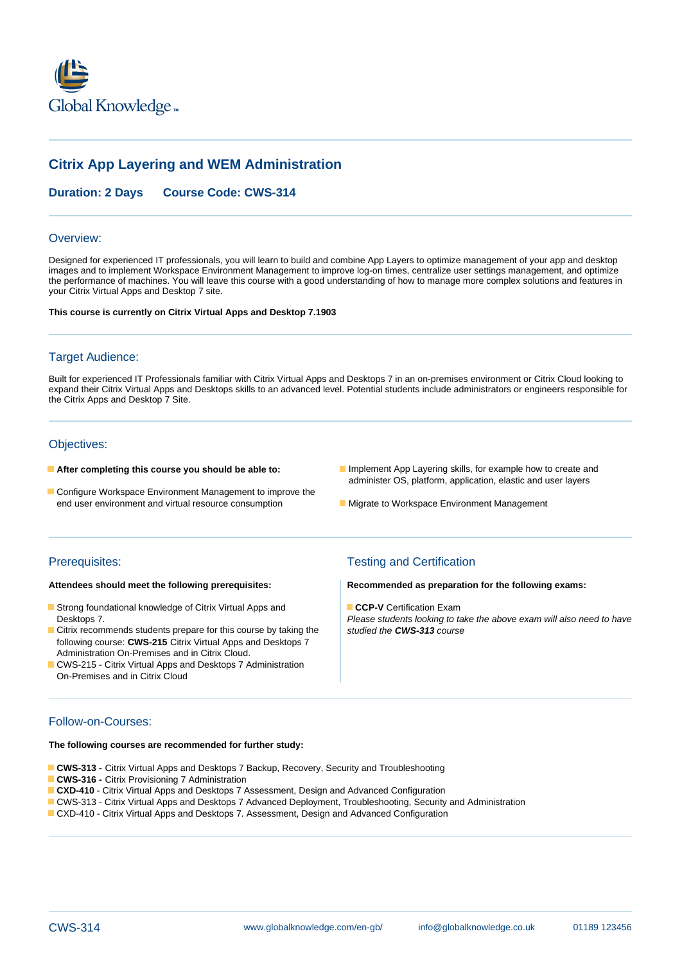

# **Citrix App Layering and WEM Administration**

# **Duration: 2 Days Course Code: CWS-314**

#### Overview:

Designed for experienced IT professionals, you will learn to build and combine App Layers to optimize management of your app and desktop images and to implement Workspace Environment Management to improve log-on times, centralize user settings management, and optimize the performance of machines. You will leave this course with a good understanding of how to manage more complex solutions and features in your Citrix Virtual Apps and Desktop 7 site.

**This course is currently on Citrix Virtual Apps and Desktop 7.1903**

#### Target Audience:

Built for experienced IT Professionals familiar with Citrix Virtual Apps and Desktops 7 in an on-premises environment or Citrix Cloud looking to expand their Citrix Virtual Apps and Desktops skills to an advanced level. Potential students include administrators or engineers responsible for the Citrix Apps and Desktop 7 Site.

# Objectives:

- 
- Configure Workspace Environment Management to improve the end user environment and virtual resource consumption **Migrate to Workspace Environment Management**
- **After completing this course you should be able to:** Implement App Layering skills, for example how to create and administer OS, platform, application, elastic and user layers
	-

- **Strong foundational knowledge of Citrix Virtual Apps and <b>CCP-V** Certification Exam
- Citrix recommends students prepare for this course by taking the following course: **CWS-215** Citrix Virtual Apps and Desktops 7 Administration On-Premises and in Citrix Cloud.
- CWS-215 Citrix Virtual Apps and Desktops 7 Administration On-Premises and in Citrix Cloud

# Prerequisites: Testing and Certification

#### **Attendees should meet the following prerequisites: Recommended as preparation for the following exams:**

Desktops 7. Desktops 7. Please students looking to take the above exam will also need to have<br>Citrix recommends students prepare for this course by taking the studied the CWS-313 course

### Follow-on-Courses:

#### **The following courses are recommended for further study:**

- **CWS-313** Citrix Virtual Apps and Desktops 7 Backup, Recovery, Security and Troubleshooting
- **CWS-316 Citrix Provisioning 7 Administration**
- **CXD-410** Citrix Virtual Apps and Desktops 7 Assessment, Design and Advanced Configuration
- CWS-313 Citrix Virtual Apps and Desktops 7 Advanced Deployment, Troubleshooting, Security and Administration
- CXD-410 Citrix Virtual Apps and Desktops 7. Assessment, Design and Advanced Configuration